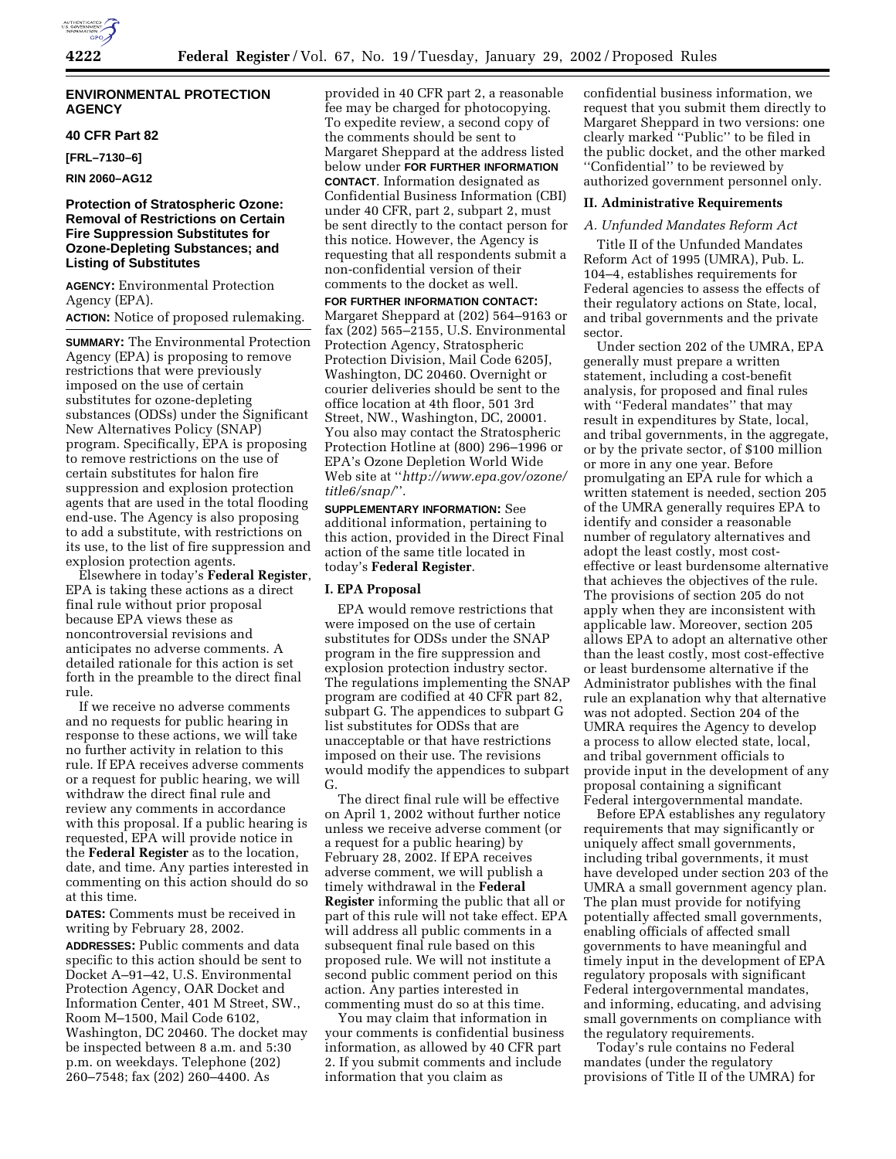## **ENVIRONMENTAL PROTECTION AGENCY**

#### **40 CFR Part 82**

**[FRL–7130–6]**

**RIN 2060–AG12**

# **Protection of Stratospheric Ozone: Removal of Restrictions on Certain Fire Suppression Substitutes for Ozone-Depleting Substances; and Listing of Substitutes**

**AGENCY:** Environmental Protection Agency (EPA).

# **ACTION:** Notice of proposed rulemaking.

**SUMMARY:** The Environmental Protection Agency (EPA) is proposing to remove restrictions that were previously imposed on the use of certain substitutes for ozone-depleting substances (ODSs) under the Significant New Alternatives Policy (SNAP) program. Specifically, EPA is proposing to remove restrictions on the use of certain substitutes for halon fire suppression and explosion protection agents that are used in the total flooding end-use. The Agency is also proposing to add a substitute, with restrictions on its use, to the list of fire suppression and explosion protection agents.

Elsewhere in today's **Federal Register**, EPA is taking these actions as a direct final rule without prior proposal because EPA views these as noncontroversial revisions and anticipates no adverse comments. A detailed rationale for this action is set forth in the preamble to the direct final rule.

If we receive no adverse comments and no requests for public hearing in response to these actions, we will take no further activity in relation to this rule. If EPA receives adverse comments or a request for public hearing, we will withdraw the direct final rule and review any comments in accordance with this proposal. If a public hearing is requested, EPA will provide notice in the **Federal Register** as to the location, date, and time. Any parties interested in commenting on this action should do so at this time.

**DATES:** Comments must be received in writing by February 28, 2002.

**ADDRESSES:** Public comments and data specific to this action should be sent to Docket A–91–42, U.S. Environmental Protection Agency, OAR Docket and Information Center, 401 M Street, SW., Room M–1500, Mail Code 6102, Washington, DC 20460. The docket may be inspected between 8 a.m. and 5:30 p.m. on weekdays. Telephone (202) 260–7548; fax (202) 260–4400. As

provided in 40 CFR part 2, a reasonable fee may be charged for photocopying. To expedite review, a second copy of the comments should be sent to Margaret Sheppard at the address listed below under **FOR FURTHER INFORMATION CONTACT**. Information designated as Confidential Business Information (CBI) under 40 CFR, part 2, subpart 2, must be sent directly to the contact person for this notice. However, the Agency is requesting that all respondents submit a non-confidential version of their comments to the docket as well.

**FOR FURTHER INFORMATION CONTACT:** Margaret Sheppard at (202) 564–9163 or fax (202) 565–2155, U.S. Environmental Protection Agency, Stratospheric Protection Division, Mail Code 6205J, Washington, DC 20460. Overnight or courier deliveries should be sent to the office location at 4th floor, 501 3rd Street, NW., Washington, DC, 20001. You also may contact the Stratospheric Protection Hotline at (800) 296–1996 or EPA's Ozone Depletion World Wide Web site at ''*http://www.epa.gov/ozone/ title6/snap/*''.

**SUPPLEMENTARY INFORMATION:** See additional information, pertaining to this action, provided in the Direct Final action of the same title located in today's **Federal Register**.

#### **I. EPA Proposal**

EPA would remove restrictions that were imposed on the use of certain substitutes for ODSs under the SNAP program in the fire suppression and explosion protection industry sector. The regulations implementing the SNAP program are codified at 40 CFR part 82, subpart G. The appendices to subpart G list substitutes for ODSs that are unacceptable or that have restrictions imposed on their use. The revisions would modify the appendices to subpart G.

The direct final rule will be effective on April 1, 2002 without further notice unless we receive adverse comment (or a request for a public hearing) by February 28, 2002. If EPA receives adverse comment, we will publish a timely withdrawal in the **Federal Register** informing the public that all or part of this rule will not take effect. EPA will address all public comments in a subsequent final rule based on this proposed rule. We will not institute a second public comment period on this action. Any parties interested in commenting must do so at this time.

You may claim that information in your comments is confidential business information, as allowed by 40 CFR part 2. If you submit comments and include information that you claim as

confidential business information, we request that you submit them directly to Margaret Sheppard in two versions: one clearly marked ''Public'' to be filed in the public docket, and the other marked ''Confidential'' to be reviewed by authorized government personnel only.

#### **II. Administrative Requirements**

#### *A. Unfunded Mandates Reform Act*

Title II of the Unfunded Mandates Reform Act of 1995 (UMRA), Pub. L. 104–4, establishes requirements for Federal agencies to assess the effects of their regulatory actions on State, local, and tribal governments and the private sector.

Under section 202 of the UMRA, EPA generally must prepare a written statement, including a cost-benefit analysis, for proposed and final rules with ''Federal mandates'' that may result in expenditures by State, local, and tribal governments, in the aggregate, or by the private sector, of \$100 million or more in any one year. Before promulgating an EPA rule for which a written statement is needed, section 205 of the UMRA generally requires EPA to identify and consider a reasonable number of regulatory alternatives and adopt the least costly, most costeffective or least burdensome alternative that achieves the objectives of the rule. The provisions of section 205 do not apply when they are inconsistent with applicable law. Moreover, section 205 allows EPA to adopt an alternative other than the least costly, most cost-effective or least burdensome alternative if the Administrator publishes with the final rule an explanation why that alternative was not adopted. Section 204 of the UMRA requires the Agency to develop a process to allow elected state, local, and tribal government officials to provide input in the development of any proposal containing a significant Federal intergovernmental mandate.

Before EPA establishes any regulatory requirements that may significantly or uniquely affect small governments, including tribal governments, it must have developed under section 203 of the UMRA a small government agency plan. The plan must provide for notifying potentially affected small governments, enabling officials of affected small governments to have meaningful and timely input in the development of EPA regulatory proposals with significant Federal intergovernmental mandates, and informing, educating, and advising small governments on compliance with the regulatory requirements.

Today's rule contains no Federal mandates (under the regulatory provisions of Title II of the UMRA) for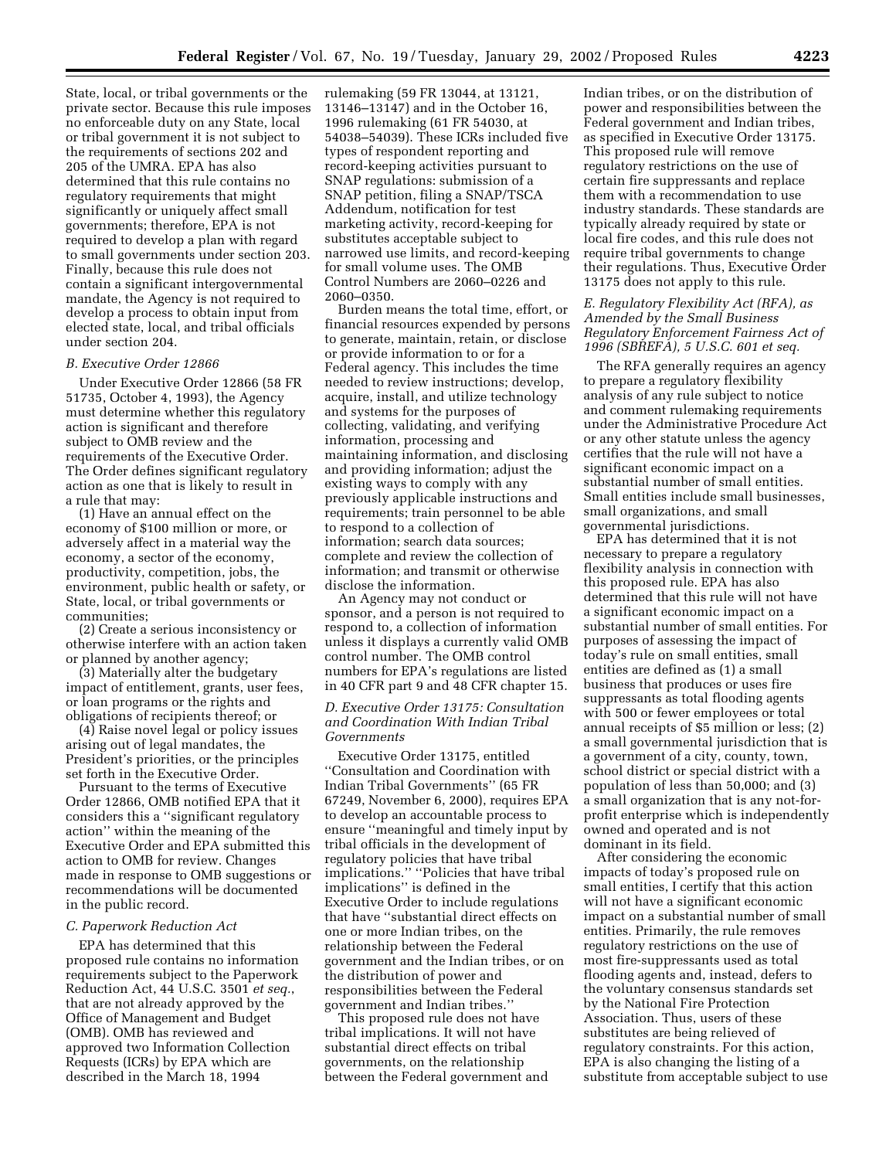State, local, or tribal governments or the private sector. Because this rule imposes no enforceable duty on any State, local or tribal government it is not subject to the requirements of sections 202 and 205 of the UMRA. EPA has also determined that this rule contains no regulatory requirements that might significantly or uniquely affect small governments; therefore, EPA is not required to develop a plan with regard to small governments under section 203. Finally, because this rule does not contain a significant intergovernmental mandate, the Agency is not required to develop a process to obtain input from elected state, local, and tribal officials under section 204.

# *B. Executive Order 12866*

Under Executive Order 12866 (58 FR 51735, October 4, 1993), the Agency must determine whether this regulatory action is significant and therefore subject to OMB review and the requirements of the Executive Order. The Order defines significant regulatory action as one that is likely to result in a rule that may:

(1) Have an annual effect on the economy of \$100 million or more, or adversely affect in a material way the economy, a sector of the economy, productivity, competition, jobs, the environment, public health or safety, or State, local, or tribal governments or communities;

(2) Create a serious inconsistency or otherwise interfere with an action taken or planned by another agency;

(3) Materially alter the budgetary impact of entitlement, grants, user fees, or loan programs or the rights and obligations of recipients thereof; or

(4) Raise novel legal or policy issues arising out of legal mandates, the President's priorities, or the principles set forth in the Executive Order.

Pursuant to the terms of Executive Order 12866, OMB notified EPA that it considers this a ''significant regulatory action'' within the meaning of the Executive Order and EPA submitted this action to OMB for review. Changes made in response to OMB suggestions or recommendations will be documented in the public record.

#### *C. Paperwork Reduction Act*

EPA has determined that this proposed rule contains no information requirements subject to the Paperwork Reduction Act, 44 U.S.C. 3501 *et seq.*, that are not already approved by the Office of Management and Budget (OMB). OMB has reviewed and approved two Information Collection Requests (ICRs) by EPA which are described in the March 18, 1994

rulemaking (59 FR 13044, at 13121, 13146–13147) and in the October 16, 1996 rulemaking (61 FR 54030, at 54038–54039). These ICRs included five types of respondent reporting and record-keeping activities pursuant to SNAP regulations: submission of a SNAP petition, filing a SNAP/TSCA Addendum, notification for test marketing activity, record-keeping for substitutes acceptable subject to narrowed use limits, and record-keeping for small volume uses. The OMB Control Numbers are 2060–0226 and 2060–0350.

Burden means the total time, effort, or financial resources expended by persons to generate, maintain, retain, or disclose or provide information to or for a Federal agency. This includes the time needed to review instructions; develop, acquire, install, and utilize technology and systems for the purposes of collecting, validating, and verifying information, processing and maintaining information, and disclosing and providing information; adjust the existing ways to comply with any previously applicable instructions and requirements; train personnel to be able to respond to a collection of information; search data sources; complete and review the collection of information; and transmit or otherwise disclose the information.

An Agency may not conduct or sponsor, and a person is not required to respond to, a collection of information unless it displays a currently valid OMB control number. The OMB control numbers for EPA's regulations are listed in 40 CFR part 9 and 48 CFR chapter 15.

### *D. Executive Order 13175: Consultation and Coordination With Indian Tribal Governments*

Executive Order 13175, entitled ''Consultation and Coordination with Indian Tribal Governments'' (65 FR 67249, November 6, 2000), requires EPA to develop an accountable process to ensure ''meaningful and timely input by tribal officials in the development of regulatory policies that have tribal implications.'' ''Policies that have tribal implications'' is defined in the Executive Order to include regulations that have ''substantial direct effects on one or more Indian tribes, on the relationship between the Federal government and the Indian tribes, or on the distribution of power and responsibilities between the Federal government and Indian tribes.''

This proposed rule does not have tribal implications. It will not have substantial direct effects on tribal governments, on the relationship between the Federal government and

Indian tribes, or on the distribution of power and responsibilities between the Federal government and Indian tribes, as specified in Executive Order 13175. This proposed rule will remove regulatory restrictions on the use of certain fire suppressants and replace them with a recommendation to use industry standards. These standards are typically already required by state or local fire codes, and this rule does not require tribal governments to change their regulations. Thus, Executive Order 13175 does not apply to this rule.

### *E. Regulatory Flexibility Act (RFA), as Amended by the Small Business Regulatory Enforcement Fairness Act of 1996 (SBREFA), 5 U.S.C. 601 et seq.*

The RFA generally requires an agency to prepare a regulatory flexibility analysis of any rule subject to notice and comment rulemaking requirements under the Administrative Procedure Act or any other statute unless the agency certifies that the rule will not have a significant economic impact on a substantial number of small entities. Small entities include small businesses, small organizations, and small governmental jurisdictions.

EPA has determined that it is not necessary to prepare a regulatory flexibility analysis in connection with this proposed rule. EPA has also determined that this rule will not have a significant economic impact on a substantial number of small entities. For purposes of assessing the impact of today's rule on small entities, small entities are defined as (1) a small business that produces or uses fire suppressants as total flooding agents with 500 or fewer employees or total annual receipts of \$5 million or less; (2) a small governmental jurisdiction that is a government of a city, county, town, school district or special district with a population of less than 50,000; and (3) a small organization that is any not-forprofit enterprise which is independently owned and operated and is not dominant in its field.

After considering the economic impacts of today's proposed rule on small entities, I certify that this action will not have a significant economic impact on a substantial number of small entities. Primarily, the rule removes regulatory restrictions on the use of most fire-suppressants used as total flooding agents and, instead, defers to the voluntary consensus standards set by the National Fire Protection Association. Thus, users of these substitutes are being relieved of regulatory constraints. For this action, EPA is also changing the listing of a substitute from acceptable subject to use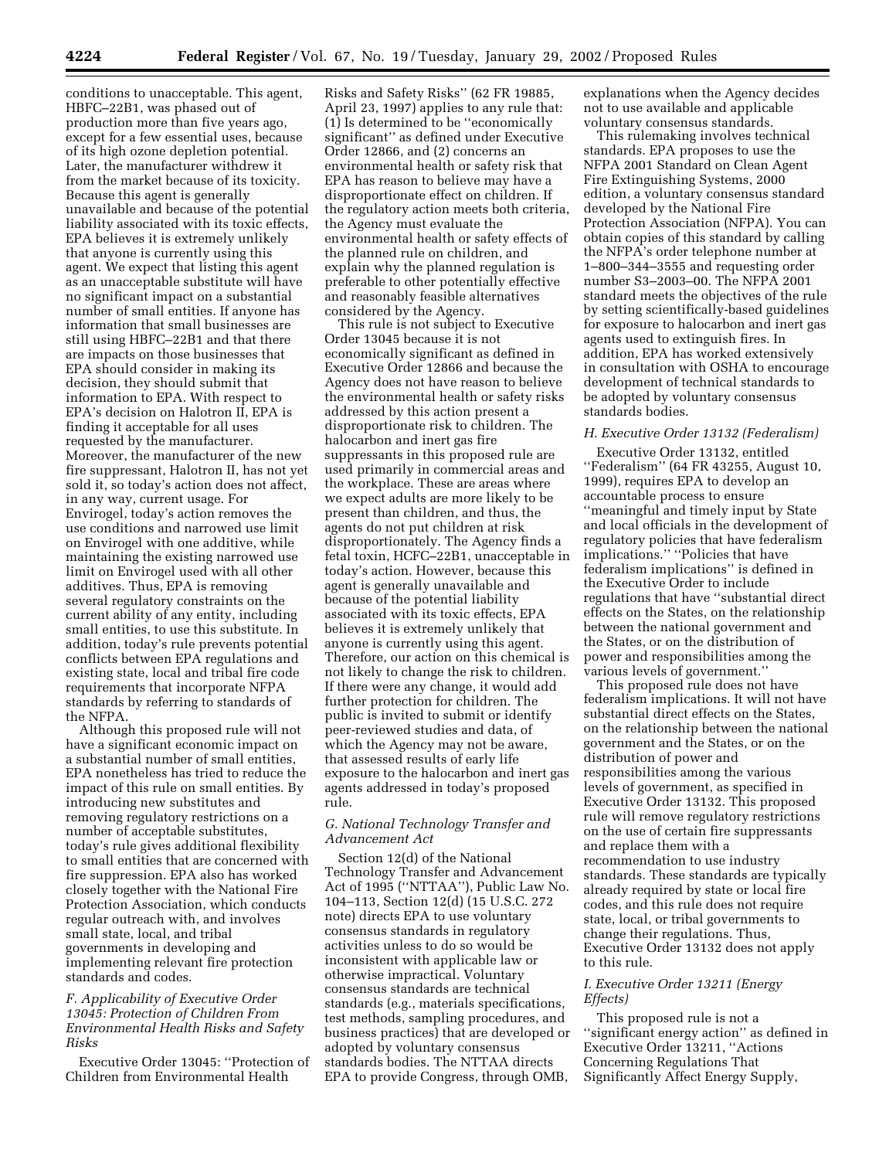conditions to unacceptable. This agent, HBFC–22B1, was phased out of production more than five years ago, except for a few essential uses, because of its high ozone depletion potential. Later, the manufacturer withdrew it from the market because of its toxicity. Because this agent is generally unavailable and because of the potential liability associated with its toxic effects, EPA believes it is extremely unlikely that anyone is currently using this agent. We expect that listing this agent as an unacceptable substitute will have no significant impact on a substantial number of small entities. If anyone has information that small businesses are still using HBFC–22B1 and that there are impacts on those businesses that EPA should consider in making its decision, they should submit that information to EPA. With respect to EPA's decision on Halotron II, EPA is finding it acceptable for all uses requested by the manufacturer. Moreover, the manufacturer of the new fire suppressant, Halotron II, has not yet sold it, so today's action does not affect, in any way, current usage. For Envirogel, today's action removes the use conditions and narrowed use limit on Envirogel with one additive, while maintaining the existing narrowed use limit on Envirogel used with all other additives. Thus, EPA is removing several regulatory constraints on the current ability of any entity, including small entities, to use this substitute. In addition, today's rule prevents potential conflicts between EPA regulations and existing state, local and tribal fire code requirements that incorporate NFPA standards by referring to standards of the NFPA.

Although this proposed rule will not have a significant economic impact on a substantial number of small entities, EPA nonetheless has tried to reduce the impact of this rule on small entities. By introducing new substitutes and removing regulatory restrictions on a number of acceptable substitutes, today's rule gives additional flexibility to small entities that are concerned with fire suppression. EPA also has worked closely together with the National Fire Protection Association, which conducts regular outreach with, and involves small state, local, and tribal governments in developing and implementing relevant fire protection standards and codes.

## *F. Applicability of Executive Order 13045: Protection of Children From Environmental Health Risks and Safety Risks*

Executive Order 13045: ''Protection of Children from Environmental Health

Risks and Safety Risks'' (62 FR 19885, April 23, 1997) applies to any rule that: (1) Is determined to be ''economically significant'' as defined under Executive Order 12866, and (2) concerns an environmental health or safety risk that EPA has reason to believe may have a disproportionate effect on children. If the regulatory action meets both criteria, the Agency must evaluate the environmental health or safety effects of the planned rule on children, and explain why the planned regulation is preferable to other potentially effective and reasonably feasible alternatives considered by the Agency.

This rule is not subject to Executive Order 13045 because it is not economically significant as defined in Executive Order 12866 and because the Agency does not have reason to believe the environmental health or safety risks addressed by this action present a disproportionate risk to children. The halocarbon and inert gas fire suppressants in this proposed rule are used primarily in commercial areas and the workplace. These are areas where we expect adults are more likely to be present than children, and thus, the agents do not put children at risk disproportionately. The Agency finds a fetal toxin, HCFC–22B1, unacceptable in today's action. However, because this agent is generally unavailable and because of the potential liability associated with its toxic effects, EPA believes it is extremely unlikely that anyone is currently using this agent. Therefore, our action on this chemical is not likely to change the risk to children. If there were any change, it would add further protection for children. The public is invited to submit or identify peer-reviewed studies and data, of which the Agency may not be aware, that assessed results of early life exposure to the halocarbon and inert gas agents addressed in today's proposed rule.

## *G. National Technology Transfer and Advancement Act*

Section 12(d) of the National Technology Transfer and Advancement Act of 1995 (''NTTAA''), Public Law No. 104–113, Section 12(d) (15 U.S.C. 272 note) directs EPA to use voluntary consensus standards in regulatory activities unless to do so would be inconsistent with applicable law or otherwise impractical. Voluntary consensus standards are technical standards (e.g., materials specifications, test methods, sampling procedures, and business practices) that are developed or adopted by voluntary consensus standards bodies. The NTTAA directs EPA to provide Congress, through OMB,

explanations when the Agency decides not to use available and applicable voluntary consensus standards.

This rulemaking involves technical standards. EPA proposes to use the NFPA 2001 Standard on Clean Agent Fire Extinguishing Systems, 2000 edition, a voluntary consensus standard developed by the National Fire Protection Association (NFPA). You can obtain copies of this standard by calling the NFPA's order telephone number at 1–800–344–3555 and requesting order number S3–2003–00. The NFPA 2001 standard meets the objectives of the rule by setting scientifically-based guidelines for exposure to halocarbon and inert gas agents used to extinguish fires. In addition, EPA has worked extensively in consultation with OSHA to encourage development of technical standards to be adopted by voluntary consensus standards bodies.

#### *H. Executive Order 13132 (Federalism)*

Executive Order 13132, entitled ''Federalism'' (64 FR 43255, August 10, 1999), requires EPA to develop an accountable process to ensure ''meaningful and timely input by State and local officials in the development of regulatory policies that have federalism implications.'' ''Policies that have federalism implications'' is defined in the Executive Order to include regulations that have ''substantial direct effects on the States, on the relationship between the national government and the States, or on the distribution of power and responsibilities among the various levels of government.''

This proposed rule does not have federalism implications. It will not have substantial direct effects on the States, on the relationship between the national government and the States, or on the distribution of power and responsibilities among the various levels of government, as specified in Executive Order 13132. This proposed rule will remove regulatory restrictions on the use of certain fire suppressants and replace them with a recommendation to use industry standards. These standards are typically already required by state or local fire codes, and this rule does not require state, local, or tribal governments to change their regulations. Thus, Executive Order 13132 does not apply to this rule.

## *I. Executive Order 13211 (Energy Effects)*

This proposed rule is not a ''significant energy action'' as defined in Executive Order 13211, ''Actions Concerning Regulations That Significantly Affect Energy Supply,